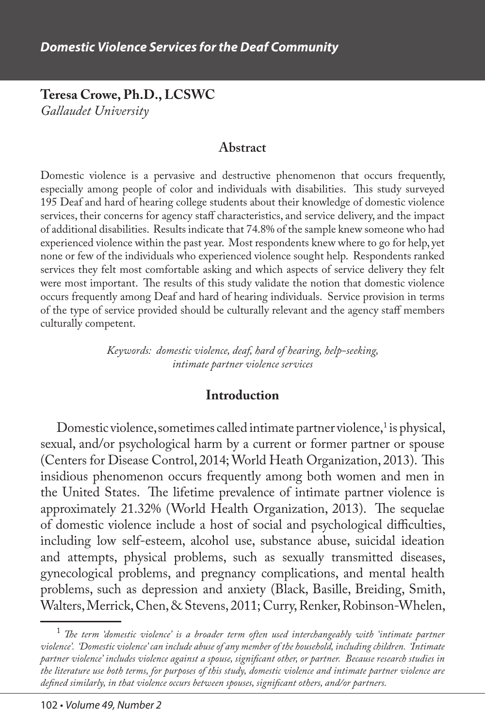**Teresa Crowe, Ph.D., LCSWC** *Gallaudet University*

#### **Abstract**

Domestic violence is a pervasive and destructive phenomenon that occurs frequently, especially among people of color and individuals with disabilities. This study surveyed 195 Deaf and hard of hearing college students about their knowledge of domestic violence services, their concerns for agency staff characteristics, and service delivery, and the impact of additional disabilities. Results indicate that 74.8% of the sample knew someone who had experienced violence within the past year. Most respondents knew where to go for help, yet none or few of the individuals who experienced violence sought help. Respondents ranked services they felt most comfortable asking and which aspects of service delivery they felt were most important. The results of this study validate the notion that domestic violence occurs frequently among Deaf and hard of hearing individuals. Service provision in terms of the type of service provided should be culturally relevant and the agency staff members culturally competent.

> *Keywords: domestic violence, deaf, hard of hearing, help-seeking, intimate partner violence services*

#### **Introduction**

Domestic violence, sometimes called intimate partner violence, $^1$  is physical, sexual, and/or psychological harm by a current or former partner or spouse (Centers for Disease Control, 2014; World Heath Organization, 2013). This insidious phenomenon occurs frequently among both women and men in the United States. The lifetime prevalence of intimate partner violence is approximately 21.32% (World Health Organization, 2013). The sequelae of domestic violence include a host of social and psychological difficulties, including low self-esteem, alcohol use, substance abuse, suicidal ideation and attempts, physical problems, such as sexually transmitted diseases, gynecological problems, and pregnancy complications, and mental health problems, such as depression and anxiety (Black, Basille, Breiding, Smith, Walters, Merrick, Chen, & Stevens, 2011; Curry, Renker, Robinson-Whelen,

 $^1$  The term 'domestic violence' is a broader term often used interchangeably with 'intimate partner *violence'. 'Domestic violence' can include abuse of any member of the household, including children. 'Intimate partner violence' includes violence against a spouse, significant other, or partner. Because research studies in the literature use both terms, for purposes of this study, domestic violence and intimate partner violence are defined similarly, in that violence occurs between spouses, significant others, and/or partners.*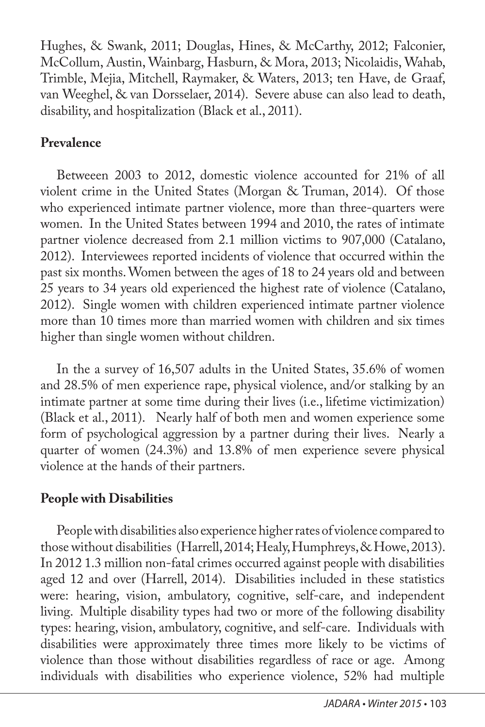Hughes, & Swank, 2011; Douglas, Hines, & McCarthy, 2012; Falconier, McCollum, Austin, Wainbarg, Hasburn, & Mora, 2013; Nicolaidis, Wahab, Trimble, Mejia, Mitchell, Raymaker, & Waters, 2013; ten Have, de Graaf, van Weeghel, & van Dorsselaer, 2014). Severe abuse can also lead to death, disability, and hospitalization (Black et al., 2011).

## **Prevalence**

Betweeen 2003 to 2012, domestic violence accounted for 21% of all violent crime in the United States (Morgan & Truman, 2014). Of those who experienced intimate partner violence, more than three-quarters were women. In the United States between 1994 and 2010, the rates of intimate partner violence decreased from 2.1 million victims to 907,000 (Catalano, 2012). Interviewees reported incidents of violence that occurred within the past six months. Women between the ages of 18 to 24 years old and between 25 years to 34 years old experienced the highest rate of violence (Catalano, 2012). Single women with children experienced intimate partner violence more than 10 times more than married women with children and six times higher than single women without children.

In the a survey of 16,507 adults in the United States, 35.6% of women and 28.5% of men experience rape, physical violence, and/or stalking by an intimate partner at some time during their lives (i.e., lifetime victimization) (Black et al., 2011). Nearly half of both men and women experience some form of psychological aggression by a partner during their lives. Nearly a quarter of women (24.3%) and 13.8% of men experience severe physical violence at the hands of their partners.

# **People with Disabilities**

People with disabilities also experience higher rates of violence compared to those without disabilities (Harrell, 2014; Healy, Humphreys, & Howe, 2013). In 2012 1.3 million non-fatal crimes occurred against people with disabilities aged 12 and over (Harrell, 2014). Disabilities included in these statistics were: hearing, vision, ambulatory, cognitive, self-care, and independent living. Multiple disability types had two or more of the following disability types: hearing, vision, ambulatory, cognitive, and self-care. Individuals with disabilities were approximately three times more likely to be victims of violence than those without disabilities regardless of race or age. Among individuals with disabilities who experience violence, 52% had multiple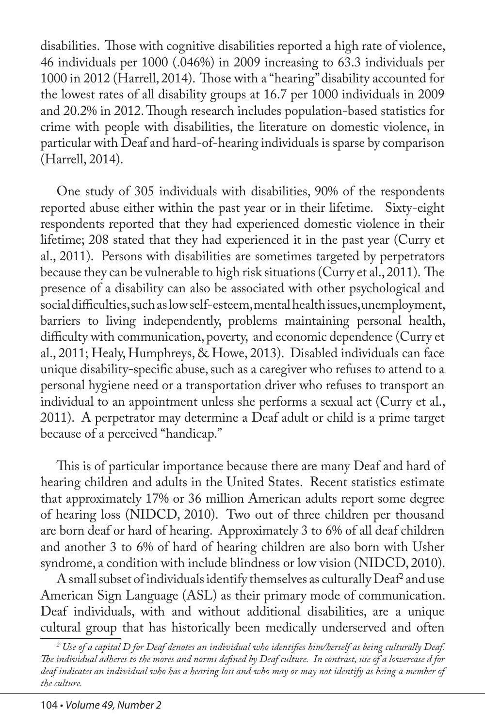disabilities. Those with cognitive disabilities reported a high rate of violence, 46 individuals per 1000 (.046%) in 2009 increasing to 63.3 individuals per 1000 in 2012 (Harrell, 2014). Those with a "hearing" disability accounted for the lowest rates of all disability groups at 16.7 per 1000 individuals in 2009 and 20.2% in 2012. Though research includes population-based statistics for crime with people with disabilities, the literature on domestic violence, in particular with Deaf and hard-of-hearing individuals is sparse by comparison (Harrell, 2014).

One study of 305 individuals with disabilities, 90% of the respondents reported abuse either within the past year or in their lifetime. Sixty-eight respondents reported that they had experienced domestic violence in their lifetime; 208 stated that they had experienced it in the past year (Curry et al., 2011). Persons with disabilities are sometimes targeted by perpetrators because they can be vulnerable to high risk situations (Curry et al., 2011). The presence of a disability can also be associated with other psychological and social difficulties, such as low self-esteem, mental health issues, unemployment, barriers to living independently, problems maintaining personal health, difficulty with communication, poverty, and economic dependence (Curry et al., 2011; Healy, Humphreys, & Howe, 2013). Disabled individuals can face unique disability-specific abuse, such as a caregiver who refuses to attend to a personal hygiene need or a transportation driver who refuses to transport an individual to an appointment unless she performs a sexual act (Curry et al., 2011). A perpetrator may determine a Deaf adult or child is a prime target because of a perceived "handicap."

This is of particular importance because there are many Deaf and hard of hearing children and adults in the United States. Recent statistics estimate that approximately 17% or 36 million American adults report some degree of hearing loss (NIDCD, 2010). Two out of three children per thousand are born deaf or hard of hearing. Approximately 3 to 6% of all deaf children and another 3 to 6% of hard of hearing children are also born with Usher syndrome, a condition with include blindness or low vision (NIDCD, 2010).

A small subset of individuals identify themselves as culturally  $\mathrm{D}\mathrm{e}\mathrm{a}\mathrm{f}^2$  and use American Sign Language (ASL) as their primary mode of communication. Deaf individuals, with and without additional disabilities, are a unique cultural group that has historically been medically underserved and often

*<sup>2</sup> Use of a capital D for Deaf denotes an individual who identifies him/herself as being culturally Deaf. The individual adheres to the mores and norms defined by Deaf culture. In contrast, use of a lowercase d for deaf indicates an individual who has a hearing loss and who may or may not identify as being a member of the culture.*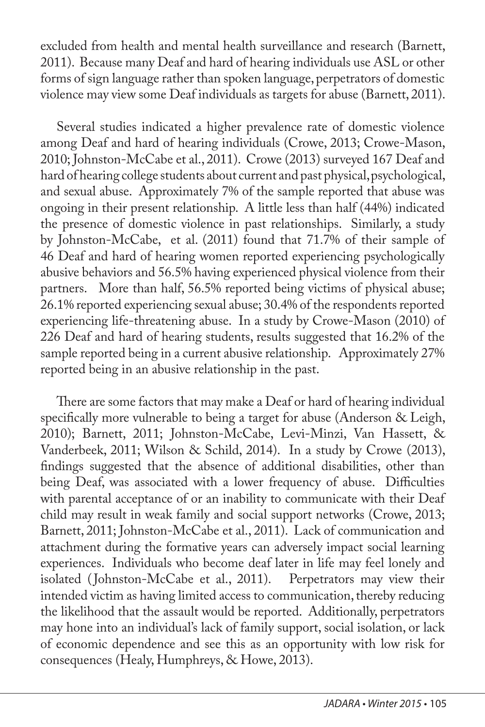excluded from health and mental health surveillance and research (Barnett, 2011). Because many Deaf and hard of hearing individuals use ASL or other forms of sign language rather than spoken language, perpetrators of domestic violence may view some Deaf individuals as targets for abuse (Barnett, 2011).

Several studies indicated a higher prevalence rate of domestic violence among Deaf and hard of hearing individuals (Crowe, 2013; Crowe-Mason, 2010; Johnston-McCabe et al., 2011). Crowe (2013) surveyed 167 Deaf and hard of hearing college students about current and past physical, psychological, and sexual abuse. Approximately 7% of the sample reported that abuse was ongoing in their present relationship. A little less than half (44%) indicated the presence of domestic violence in past relationships. Similarly, a study by Johnston-McCabe, et al. (2011) found that 71.7% of their sample of 46 Deaf and hard of hearing women reported experiencing psychologically abusive behaviors and 56.5% having experienced physical violence from their partners. More than half, 56.5% reported being victims of physical abuse; 26.1% reported experiencing sexual abuse; 30.4% of the respondents reported experiencing life-threatening abuse. In a study by Crowe-Mason (2010) of 226 Deaf and hard of hearing students, results suggested that 16.2% of the sample reported being in a current abusive relationship. Approximately 27% reported being in an abusive relationship in the past.

There are some factors that may make a Deaf or hard of hearing individual specifically more vulnerable to being a target for abuse (Anderson & Leigh, 2010); Barnett, 2011; Johnston-McCabe, Levi-Minzi, Van Hassett, & Vanderbeek, 2011; Wilson & Schild, 2014). In a study by Crowe (2013), findings suggested that the absence of additional disabilities, other than being Deaf, was associated with a lower frequency of abuse. Difficulties with parental acceptance of or an inability to communicate with their Deaf child may result in weak family and social support networks (Crowe, 2013; Barnett, 2011; Johnston-McCabe et al., 2011). Lack of communication and attachment during the formative years can adversely impact social learning experiences. Individuals who become deaf later in life may feel lonely and isolated (Johnston-McCabe et al., 2011). Perpetrators may view their intended victim as having limited access to communication, thereby reducing the likelihood that the assault would be reported. Additionally, perpetrators may hone into an individual's lack of family support, social isolation, or lack of economic dependence and see this as an opportunity with low risk for consequences (Healy, Humphreys, & Howe, 2013).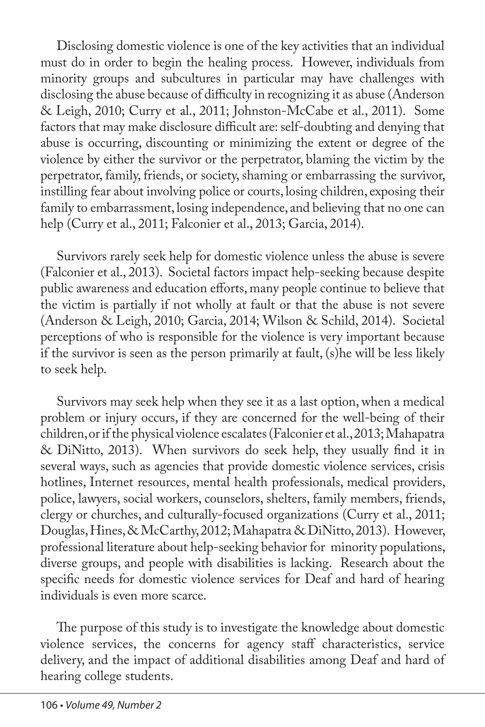Disclosing domestic violence is one of the key activities that an individual must do in order to begin the healing process. However, individuals from minority groups and subcultures in particular may have challenges with disclosing the abuse because of difficulty in recognizing it as abuse (Anderson & Leigh, 2010; Curry et al., 2011; Johnston-McCabe et al., 2011). Some factors that may make disclosure difficult are: self-doubting and denying that abuse is occurring, discounting or minimizing the extent or degree of the violence by either the survivor or the perpetrator, blaming the victim by the perpetrator, family, friends, or society, shaming or embarrassing the survivor, instilling fear about involving police or courts, losing children, exposing their family to embarrassment, losing independence, and believing that no one can help (Curry et al., 2011; Falconier et al., 2013; Garcia, 2014).

Survivors rarely seek help for domestic violence unless the abuse is severe (Falconier et al., 2013). Societal factors impact help-seeking because despite public awareness and education efforts, many people continue to believe that the victim is partially if not wholly at fault or that the abuse is not severe (Anderson & Leigh, 2010; Garcia, 2014; Wilson & Schild, 2014). Societal perceptions of who is responsible for the violence is very important because if the survivor is seen as the person primarily at fault, (s)he will be less likely to seek help.

Survivors may seek help when they see it as a last option, when a medical problem or injury occurs, if they are concerned for the well-being of their children, or if the physical violence escalates (Falconier et al., 2013; Mahapatra & DiNitto, 2013). When survivors do seek help, they usually find it in several ways, such as agencies that provide domestic violence services, crisis hotlines, Internet resources, mental health professionals, medical providers, police, lawyers, social workers, counselors, shelters, family members, friends, clergy or churches, and culturally-focused organizations (Curry et al., 2011; Douglas, Hines, & McCarthy, 2012; Mahapatra & DiNitto, 2013). However, professional literature about help-seeking behavior for minority populations, diverse groups, and people with disabilities is lacking. Research about the specific needs for domestic violence services for Deaf and hard of hearing individuals is even more scarce.

The purpose of this study is to investigate the knowledge about domestic violence services, the concerns for agency staff characteristics, service delivery, and the impact of additional disabilities among Deaf and hard of hearing college students.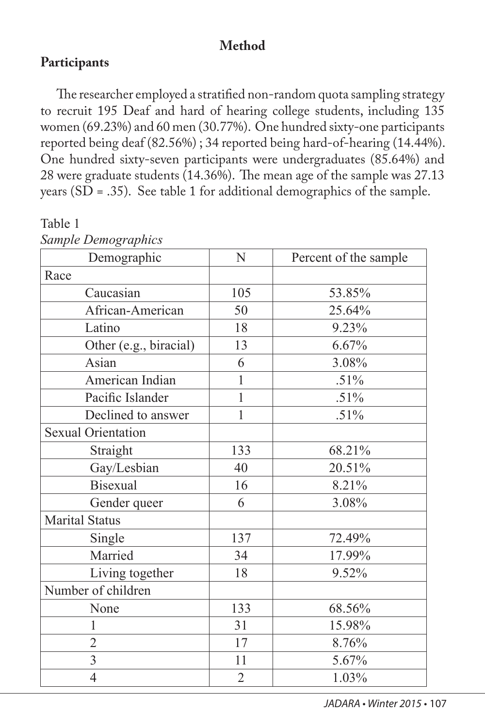## **Method**

### **Participants**

The researcher employed a stratified non-random quota sampling strategy to recruit 195 Deaf and hard of hearing college students, including 135 women (69.23%) and 60 men (30.77%). One hundred sixty-one participants reported being deaf (82.56%) ; 34 reported being hard-of-hearing (14.44%). One hundred sixty-seven participants were undergraduates (85.64%) and 28 were graduate students (14.36%). The mean age of the sample was 27.13 years (SD = .35). See table 1 for additional demographics of the sample.

| sumple Demographics       |                |                       |  |  |
|---------------------------|----------------|-----------------------|--|--|
| Demographic               | N              | Percent of the sample |  |  |
| Race                      |                |                       |  |  |
| Caucasian                 | 105            | 53.85%                |  |  |
| African-American          | 50             | 25.64%                |  |  |
| Latino                    | 18             | 9.23%                 |  |  |
| Other (e.g., biracial)    | 13             | 6.67%                 |  |  |
| Asian                     | 6              | 3.08%                 |  |  |
| American Indian           | $\mathbf{1}$   | .51%                  |  |  |
| Pacific Islander          | $\mathbf{1}$   | $.51\%$               |  |  |
| Declined to answer        | $\mathbf{1}$   | .51%                  |  |  |
| <b>Sexual Orientation</b> |                |                       |  |  |
| Straight                  | 133            | 68.21%                |  |  |
| Gay/Lesbian               | 40             | 20.51%                |  |  |
| <b>Bisexual</b>           | 16             | 8.21%                 |  |  |
| Gender queer              | 6              | 3.08%                 |  |  |
| <b>Marital Status</b>     |                |                       |  |  |
| Single                    | 137            | 72.49%                |  |  |
| Married                   | 34             | 17.99%                |  |  |
| Living together           | 18             | 9.52%                 |  |  |
| Number of children        |                |                       |  |  |
| None                      | 133            | 68.56%                |  |  |
| 1                         | 31             | 15.98%                |  |  |
| $\overline{2}$            | 17             | 8.76%                 |  |  |
| $\overline{3}$            | 11             | 5.67%                 |  |  |
| $\overline{4}$            | $\overline{2}$ | 1.03%                 |  |  |

Table 1 *Sample Demographics*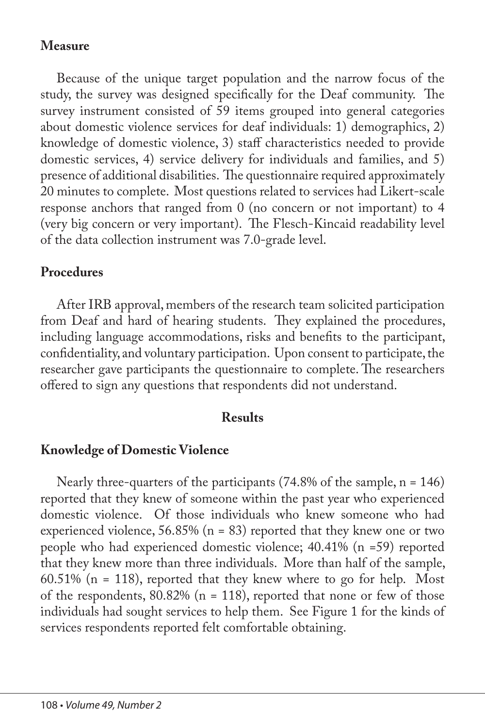### **Measure**

Because of the unique target population and the narrow focus of the study, the survey was designed specifically for the Deaf community. The survey instrument consisted of 59 items grouped into general categories about domestic violence services for deaf individuals: 1) demographics, 2) knowledge of domestic violence, 3) staff characteristics needed to provide domestic services, 4) service delivery for individuals and families, and 5) presence of additional disabilities. The questionnaire required approximately 20 minutes to complete. Most questions related to services had Likert-scale response anchors that ranged from 0 (no concern or not important) to 4 (very big concern or very important). The Flesch-Kincaid readability level of the data collection instrument was 7.0-grade level.

### **Procedures**

After IRB approval, members of the research team solicited participation from Deaf and hard of hearing students. They explained the procedures, including language accommodations, risks and benefits to the participant, confidentiality, and voluntary participation. Upon consent to participate, the researcher gave participants the questionnaire to complete. The researchers offered to sign any questions that respondents did not understand.

#### **Results**

## **Knowledge of Domestic Violence**

Nearly three-quarters of the participants (74.8% of the sample, n = 146) reported that they knew of someone within the past year who experienced domestic violence. Of those individuals who knew someone who had experienced violence,  $56.85\%$  (n = 83) reported that they knew one or two people who had experienced domestic violence; 40.41% (n =59) reported that they knew more than three individuals. More than half of the sample, 60.51% (n = 118), reported that they knew where to go for help. Most of the respondents,  $80.82\%$  (n = 118), reported that none or few of those individuals had sought services to help them. See Figure 1 for the kinds of services respondents reported felt comfortable obtaining.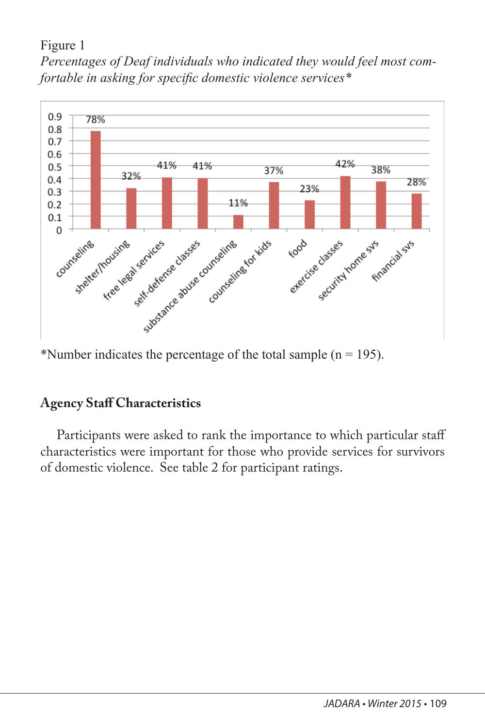#### Figure 1

*Percentages of Deaf individuals who indicated they would feel most comfortable in asking for specific domestic violence services\**



\*Number indicates the percentage of the total sample  $(n = 195)$ .

# **Agency Staff Characteristics**

Participants were asked to rank the importance to which particular staff characteristics were important for those who provide services for survivors of domestic violence. See table 2 for participant ratings.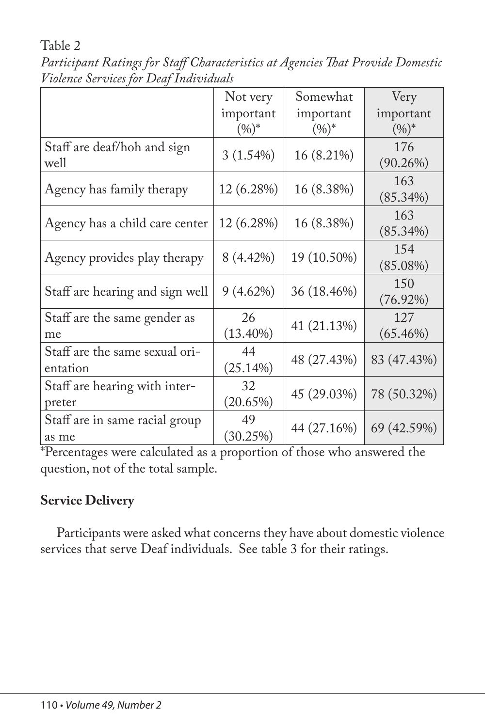Table 2

*Participant Ratings for Staff Characteristics at Agencies That Provide Domestic Violence Services for Deaf Individuals*

|                                            | Not very              | Somewhat              | Very                  |
|--------------------------------------------|-----------------------|-----------------------|-----------------------|
|                                            | important<br>$(9/6)*$ | important<br>$(9/6)*$ | important<br>$(0/0)*$ |
| Staff are deaf/hoh and sign<br>well        | 3(1.54%)              | 16 (8.21%)            | 176<br>$(90.26\%)$    |
| Agency has family therapy                  | 12 (6.28%)            | 16 (8.38%)            | 163<br>$(85.34\%)$    |
| Agency has a child care center             | 12 (6.28%)            | 16 (8.38%)            | 163<br>$(85.34\%)$    |
| Agency provides play therapy               | 8 (4.42%)             | 19 (10.50%)           | 154<br>$(85.08\%)$    |
| Staff are hearing and sign well            | $9(4.62\%)$           | 36 (18.46%)           | 150<br>$(76.92\%)$    |
| Staff are the same gender as<br>me         | 26<br>$(13.40\%)$     | 41 (21.13%)           | 127<br>$(65.46\%)$    |
| Staff are the same sexual ori-<br>entation | 44<br>(25.14%)        | 48 (27.43%)           | 83 (47.43%)           |
| Staff are hearing with inter-<br>preter    | 32<br>$(20.65\%)$     | 45 (29.03%)           | 78 (50.32%)           |
| Staff are in same racial group<br>as me    | 49<br>(30.25%)        | 44 (27.16%)           | 69 (42.59%)           |

\*Percentages were calculated as a proportion of those who answered the question, not of the total sample.

# **Service Delivery**

Participants were asked what concerns they have about domestic violence services that serve Deaf individuals. See table 3 for their ratings.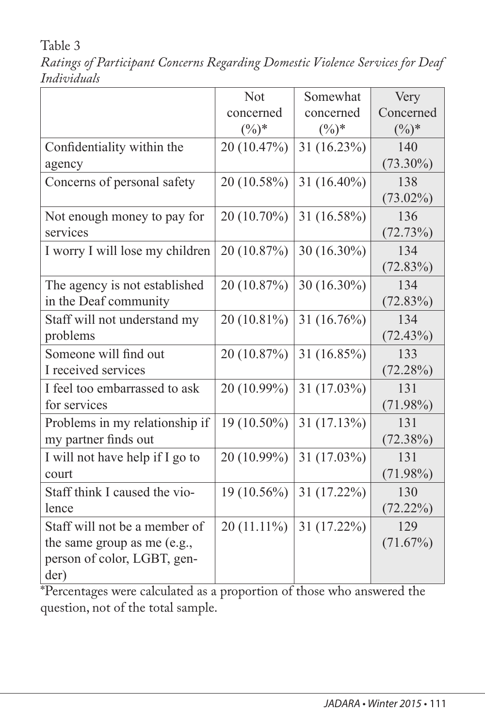Table 3

*Ratings of Participant Concerns Regarding Domestic Violence Services for Deaf Individuals*

|                                 | <b>Not</b>    | Somewhat       | Very        |
|---------------------------------|---------------|----------------|-------------|
|                                 | concerned     | concerned      | Concerned   |
|                                 | $(\%)^*$      | $(\%)^*$       | $(\%)^*$    |
| Confidentiality within the      | 20 (10.47%)   | $31(16.23\%)$  | 140         |
| agency                          |               |                | $(73.30\%)$ |
| Concerns of personal safety     | 20 (10.58%)   | 31 $(16.40\%)$ | 138         |
|                                 |               |                | $(73.02\%)$ |
| Not enough money to pay for     | 20 (10.70%)   | 31 (16.58%)    | 136         |
| services                        |               |                | (72.73%)    |
| I worry I will lose my children | 20 (10.87%)   | $30(16.30\%)$  | 134         |
|                                 |               |                | (72.83%)    |
| The agency is not established   | 20 (10.87%)   | 30 $(16.30\%)$ | 134         |
| in the Deaf community           |               |                | (72.83%)    |
| Staff will not understand my    | 20 (10.81%)   | 31 $(16.76\%)$ | 134         |
| problems                        |               |                | (72.43%)    |
| Someone will find out           | 20 (10.87%)   | 31 (16.85%)    | 133         |
| I received services             |               |                | (72.28%)    |
| I feel too embarrassed to ask   | 20 (10.99%)   | 31 $(17.03\%)$ | 131         |
| for services                    |               |                | $(71.98\%)$ |
| Problems in my relationship if  | 19 (10.50%)   | 31(17.13%)     | 131         |
| my partner finds out            |               |                | $(72.38\%)$ |
| I will not have help if I go to | 20 (10.99%)   | 31 $(17.03\%)$ | 131         |
| court                           |               |                | $(71.98\%)$ |
| Staff think I caused the vio-   | $19(10.56\%)$ | $31(17.22\%)$  | 130         |
| lence                           |               |                | (72.22%)    |
| Staff will not be a member of   | $20(11.11\%)$ | 31 (17.22%)    | 129         |
| the same group as me (e.g.,     |               |                | (71.67%)    |
| person of color, LGBT, gen-     |               |                |             |
| der)<br>$1 \quad 1$             |               |                |             |

\*Percentages were calculated as a proportion of those who answered the question, not of the total sample.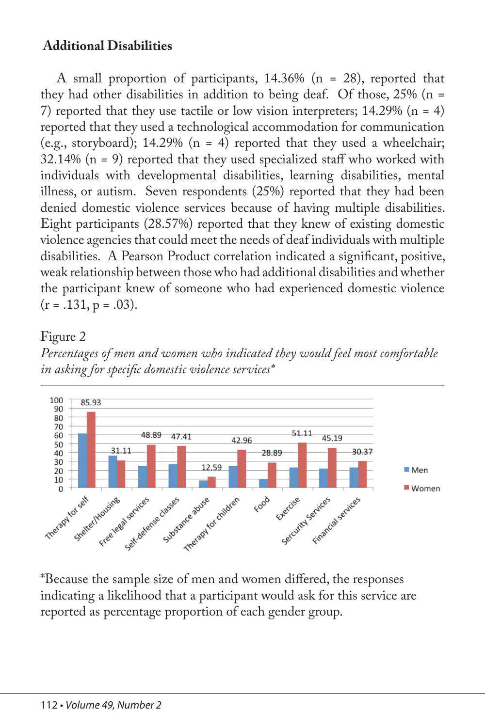### **Additional Disabilities**

A small proportion of participants, 14.36% (n = 28), reported that they had other disabilities in addition to being deaf. Of those, 25% (n = 7) reported that they use tactile or low vision interpreters;  $14.29\%$  (n = 4) reported that they used a technological accommodation for communication (e.g., storyboard); 14.29% ( $n = 4$ ) reported that they used a wheelchair;  $32.14\%$  (n = 9) reported that they used specialized staff who worked with individuals with developmental disabilities, learning disabilities, mental illness, or autism. Seven respondents (25%) reported that they had been denied domestic violence services because of having multiple disabilities. Eight participants (28.57%) reported that they knew of existing domestic violence agencies that could meet the needs of deaf individuals with multiple disabilities. A Pearson Product correlation indicated a significant, positive, weak relationship between those who had additional disabilities and whether the participant knew of someone who had experienced domestic violence  $(r = .131, p = .03)$ .

#### Figure 2





\*Because the sample size of men and women differed, the responses indicating a likelihood that a participant would ask for this service are reported as percentage proportion of each gender group.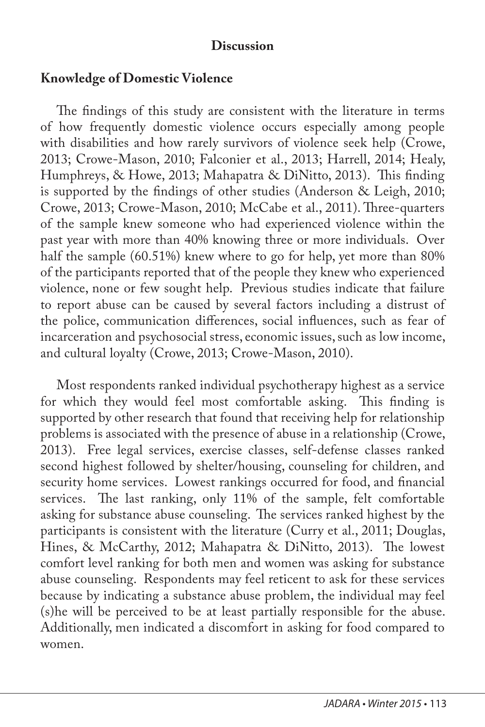#### **Discussion**

#### **Knowledge of Domestic Violence**

The findings of this study are consistent with the literature in terms of how frequently domestic violence occurs especially among people with disabilities and how rarely survivors of violence seek help (Crowe, 2013; Crowe-Mason, 2010; Falconier et al., 2013; Harrell, 2014; Healy, Humphreys, & Howe, 2013; Mahapatra & DiNitto, 2013). This finding is supported by the findings of other studies (Anderson & Leigh, 2010; Crowe, 2013; Crowe-Mason, 2010; McCabe et al., 2011). Three-quarters of the sample knew someone who had experienced violence within the past year with more than 40% knowing three or more individuals. Over half the sample (60.51%) knew where to go for help, yet more than 80% of the participants reported that of the people they knew who experienced violence, none or few sought help. Previous studies indicate that failure to report abuse can be caused by several factors including a distrust of the police, communication differences, social influences, such as fear of incarceration and psychosocial stress, economic issues, such as low income, and cultural loyalty (Crowe, 2013; Crowe-Mason, 2010).

Most respondents ranked individual psychotherapy highest as a service for which they would feel most comfortable asking. This finding is supported by other research that found that receiving help for relationship problems is associated with the presence of abuse in a relationship (Crowe, 2013). Free legal services, exercise classes, self-defense classes ranked second highest followed by shelter/housing, counseling for children, and security home services. Lowest rankings occurred for food, and financial services. The last ranking, only 11% of the sample, felt comfortable asking for substance abuse counseling. The services ranked highest by the participants is consistent with the literature (Curry et al., 2011; Douglas, Hines, & McCarthy, 2012; Mahapatra & DiNitto, 2013). The lowest comfort level ranking for both men and women was asking for substance abuse counseling. Respondents may feel reticent to ask for these services because by indicating a substance abuse problem, the individual may feel (s)he will be perceived to be at least partially responsible for the abuse. Additionally, men indicated a discomfort in asking for food compared to women.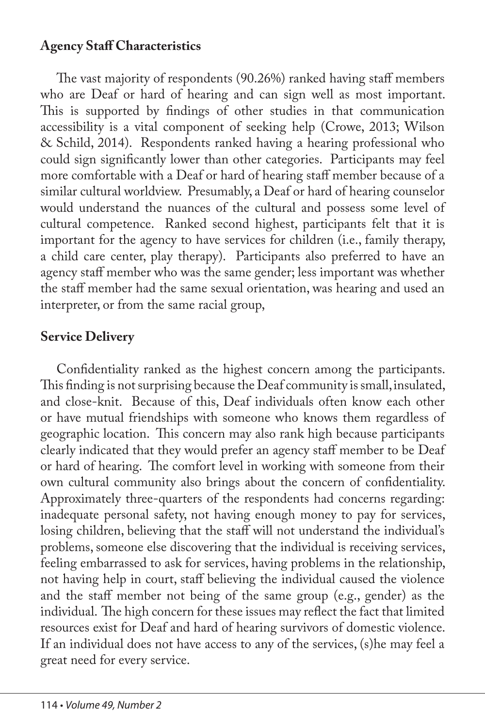## **Agency Staff Characteristics**

The vast majority of respondents (90.26%) ranked having staff members who are Deaf or hard of hearing and can sign well as most important. This is supported by findings of other studies in that communication accessibility is a vital component of seeking help (Crowe, 2013; Wilson & Schild, 2014). Respondents ranked having a hearing professional who could sign significantly lower than other categories. Participants may feel more comfortable with a Deaf or hard of hearing staff member because of a similar cultural worldview. Presumably, a Deaf or hard of hearing counselor would understand the nuances of the cultural and possess some level of cultural competence. Ranked second highest, participants felt that it is important for the agency to have services for children (i.e., family therapy, a child care center, play therapy). Participants also preferred to have an agency staff member who was the same gender; less important was whether the staff member had the same sexual orientation, was hearing and used an interpreter, or from the same racial group,

# **Service Delivery**

Confidentiality ranked as the highest concern among the participants. This finding is not surprising because the Deaf community is small, insulated, and close-knit. Because of this, Deaf individuals often know each other or have mutual friendships with someone who knows them regardless of geographic location. This concern may also rank high because participants clearly indicated that they would prefer an agency staff member to be Deaf or hard of hearing. The comfort level in working with someone from their own cultural community also brings about the concern of confidentiality. Approximately three-quarters of the respondents had concerns regarding: inadequate personal safety, not having enough money to pay for services, losing children, believing that the staff will not understand the individual's problems, someone else discovering that the individual is receiving services, feeling embarrassed to ask for services, having problems in the relationship, not having help in court, staff believing the individual caused the violence and the staff member not being of the same group (e.g., gender) as the individual. The high concern for these issues may reflect the fact that limited resources exist for Deaf and hard of hearing survivors of domestic violence. If an individual does not have access to any of the services, (s)he may feel a great need for every service.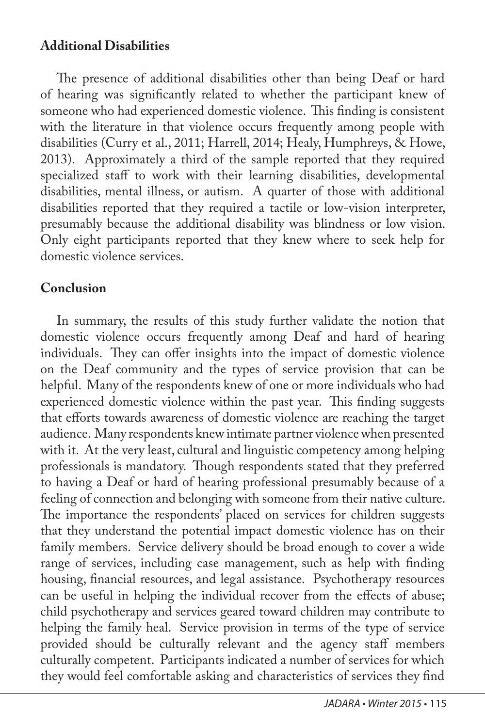### **Additional Disabilities**

The presence of additional disabilities other than being Deaf or hard of hearing was significantly related to whether the participant knew of someone who had experienced domestic violence. This finding is consistent with the literature in that violence occurs frequently among people with disabilities (Curry et al., 2011; Harrell, 2014; Healy, Humphreys, & Howe, 2013). Approximately a third of the sample reported that they required specialized staff to work with their learning disabilities, developmental disabilities, mental illness, or autism. A quarter of those with additional disabilities reported that they required a tactile or low-vision interpreter, presumably because the additional disability was blindness or low vision. Only eight participants reported that they knew where to seek help for domestic violence services.

## **Conclusion**

In summary, the results of this study further validate the notion that domestic violence occurs frequently among Deaf and hard of hearing individuals. They can offer insights into the impact of domestic violence on the Deaf community and the types of service provision that can be helpful. Many of the respondents knew of one or more individuals who had experienced domestic violence within the past year. This finding suggests that efforts towards awareness of domestic violence are reaching the target audience. Many respondents knew intimate partner violence when presented with it. At the very least, cultural and linguistic competency among helping professionals is mandatory. Though respondents stated that they preferred to having a Deaf or hard of hearing professional presumably because of a feeling of connection and belonging with someone from their native culture. The importance the respondents' placed on services for children suggests that they understand the potential impact domestic violence has on their family members. Service delivery should be broad enough to cover a wide range of services, including case management, such as help with finding housing, financial resources, and legal assistance. Psychotherapy resources can be useful in helping the individual recover from the effects of abuse; child psychotherapy and services geared toward children may contribute to helping the family heal. Service provision in terms of the type of service provided should be culturally relevant and the agency staff members culturally competent. Participants indicated a number of services for which they would feel comfortable asking and characteristics of services they find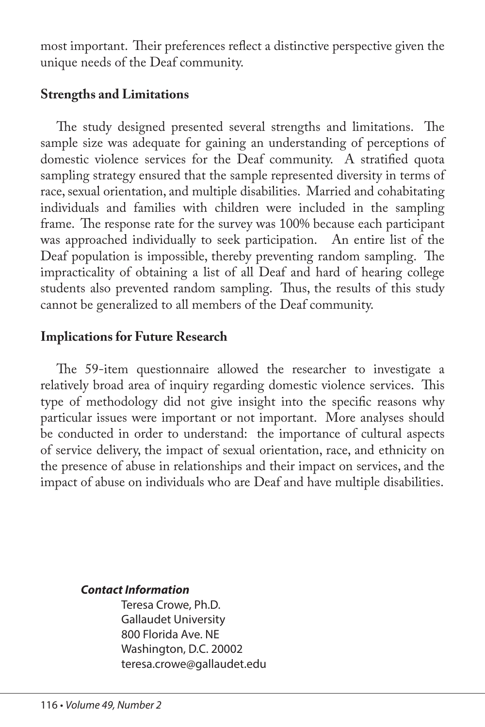most important. Their preferences reflect a distinctive perspective given the unique needs of the Deaf community.

#### **Strengths and Limitations**

The study designed presented several strengths and limitations. The sample size was adequate for gaining an understanding of perceptions of domestic violence services for the Deaf community. A stratified quota sampling strategy ensured that the sample represented diversity in terms of race, sexual orientation, and multiple disabilities. Married and cohabitating individuals and families with children were included in the sampling frame. The response rate for the survey was 100% because each participant was approached individually to seek participation. An entire list of the Deaf population is impossible, thereby preventing random sampling. The impracticality of obtaining a list of all Deaf and hard of hearing college students also prevented random sampling. Thus, the results of this study cannot be generalized to all members of the Deaf community.

## **Implications for Future Research**

The 59-item questionnaire allowed the researcher to investigate a relatively broad area of inquiry regarding domestic violence services. This type of methodology did not give insight into the specific reasons why particular issues were important or not important. More analyses should be conducted in order to understand: the importance of cultural aspects of service delivery, the impact of sexual orientation, race, and ethnicity on the presence of abuse in relationships and their impact on services, and the impact of abuse on individuals who are Deaf and have multiple disabilities.

#### *Contact Information*

Teresa Crowe, Ph.D. Gallaudet University 800 Florida Ave. NE Washington, D.C. 20002 teresa.crowe@gallaudet.edu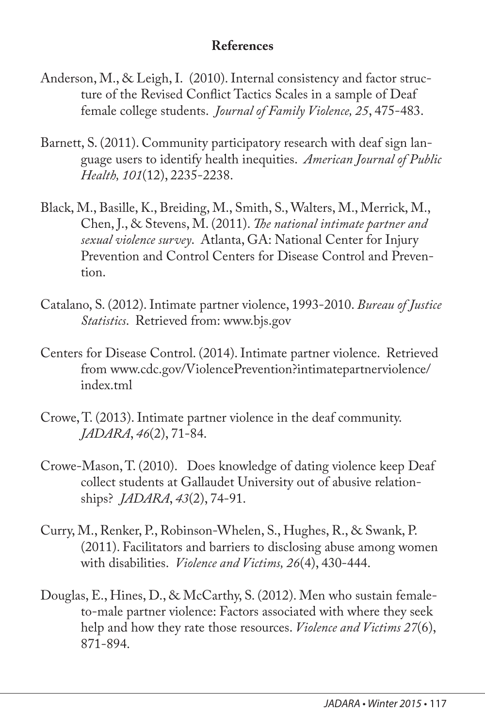### **References**

- Anderson, M., & Leigh, I. (2010). Internal consistency and factor structure of the Revised Conflict Tactics Scales in a sample of Deaf female college students. *Journal of Family Violence, 25*, 475-483.
- Barnett, S. (2011). Community participatory research with deaf sign language users to identify health inequities. *American Journal of Public Health, 101*(12), 2235-2238.
- Black, M., Basille, K., Breiding, M., Smith, S., Walters, M., Merrick, M., Chen, J., & Stevens, M. (2011). *The national intimate partner and sexual violence survey*. Atlanta, GA: National Center for Injury Prevention and Control Centers for Disease Control and Prevention.
- Catalano, S. (2012). Intimate partner violence, 1993-2010. *Bureau of Justice Statistics*. Retrieved from: www.bjs.gov
- Centers for Disease Control. (2014). Intimate partner violence. Retrieved from www.cdc.gov/ViolencePrevention?intimatepartnerviolence/ index.tml
- Crowe, T. (2013). Intimate partner violence in the deaf community. *JADARA*, *46*(2), 71-84.
- Crowe-Mason, T. (2010). Does knowledge of dating violence keep Deaf collect students at Gallaudet University out of abusive relationships? *JADARA*, *43*(2), 74-91.
- Curry, M., Renker, P., Robinson-Whelen, S., Hughes, R., & Swank, P. (2011). Facilitators and barriers to disclosing abuse among women with disabilities. *Violence and Victims, 26*(4), 430-444.
- Douglas, E., Hines, D., & McCarthy, S. (2012). Men who sustain femaleto-male partner violence: Factors associated with where they seek help and how they rate those resources. *Violence and Victims 27*(6), 871-894.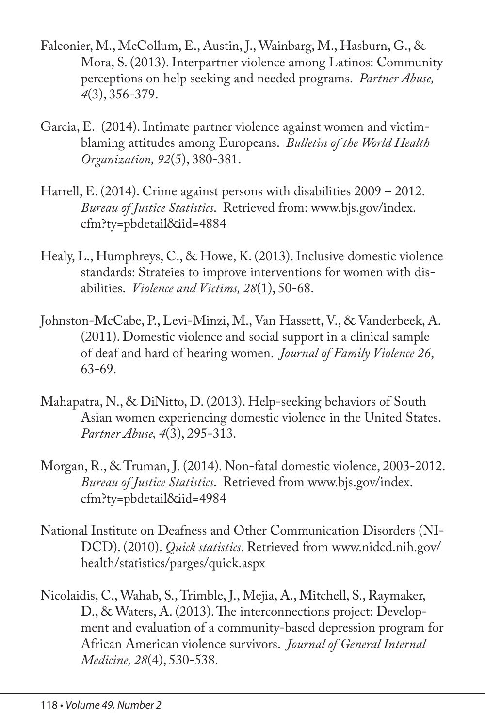- Falconier, M., McCollum, E., Austin, J., Wainbarg, M., Hasburn, G., & Mora, S. (2013). Interpartner violence among Latinos: Community perceptions on help seeking and needed programs. *Partner Abuse, 4*(3), 356-379.
- Garcia, E. (2014). Intimate partner violence against women and victimblaming attitudes among Europeans. *Bulletin of the World Health Organization, 92*(5), 380-381.
- Harrell, E. (2014). Crime against persons with disabilities 2009 2012. *Bureau of Justice Statistics*. Retrieved from: www.bjs.gov/index. cfm?ty=pbdetail&iid=4884
- Healy, L., Humphreys, C., & Howe, K. (2013). Inclusive domestic violence standards: Strateies to improve interventions for women with disabilities. *Violence and Victims, 28*(1), 50-68.
- Johnston-McCabe, P., Levi-Minzi, M., Van Hassett, V., & Vanderbeek, A. (2011). Domestic violence and social support in a clinical sample of deaf and hard of hearing women. *Journal of Family Violence 26*, 63-69.
- Mahapatra, N., & DiNitto, D. (2013). Help-seeking behaviors of South Asian women experiencing domestic violence in the United States. *Partner Abuse, 4*(3), 295-313.
- Morgan, R., & Truman, J. (2014). Non-fatal domestic violence, 2003-2012. *Bureau of Justice Statistics*. Retrieved from www.bjs.gov/index. cfm?ty=pbdetail&iid=4984
- National Institute on Deafness and Other Communication Disorders (NI-DCD). (2010). *Quick statistics*. Retrieved from www.nidcd.nih.gov/ health/statistics/parges/quick.aspx
- Nicolaidis, C., Wahab, S., Trimble, J., Mejia, A., Mitchell, S., Raymaker, D., & Waters, A. (2013). The interconnections project: Development and evaluation of a community-based depression program for African American violence survivors. *Journal of General Internal Medicine, 28*(4), 530-538.